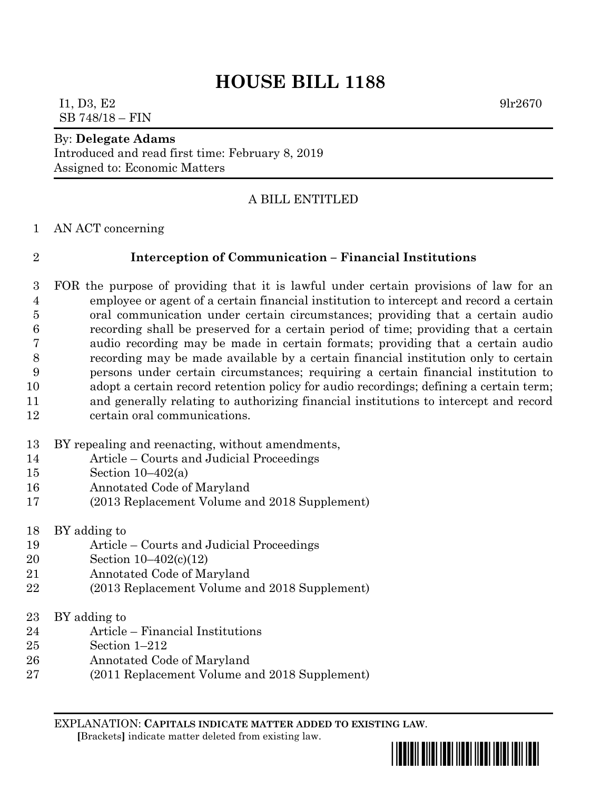# **HOUSE BILL 1188**

## $11, D3, E2$  9lr2670 SB 748/18 – FIN

#### By: **Delegate Adams**

Introduced and read first time: February 8, 2019 Assigned to: Economic Matters

### A BILL ENTITLED

AN ACT concerning

### **Interception of Communication – Financial Institutions**

 FOR the purpose of providing that it is lawful under certain provisions of law for an employee or agent of a certain financial institution to intercept and record a certain oral communication under certain circumstances; providing that a certain audio recording shall be preserved for a certain period of time; providing that a certain audio recording may be made in certain formats; providing that a certain audio recording may be made available by a certain financial institution only to certain persons under certain circumstances; requiring a certain financial institution to adopt a certain record retention policy for audio recordings; defining a certain term; and generally relating to authorizing financial institutions to intercept and record certain oral communications.

- BY repealing and reenacting, without amendments,
- Article Courts and Judicial Proceedings
- Section 10–402(a)
- Annotated Code of Maryland
- (2013 Replacement Volume and 2018 Supplement)
- BY adding to
- Article Courts and Judicial Proceedings
- Section 10–402(c)(12)
- Annotated Code of Maryland
- (2013 Replacement Volume and 2018 Supplement)
- BY adding to
- Article Financial Institutions
- Section 1–212
- Annotated Code of Maryland
- (2011 Replacement Volume and 2018 Supplement)

EXPLANATION: **CAPITALS INDICATE MATTER ADDED TO EXISTING LAW**.  **[**Brackets**]** indicate matter deleted from existing law.

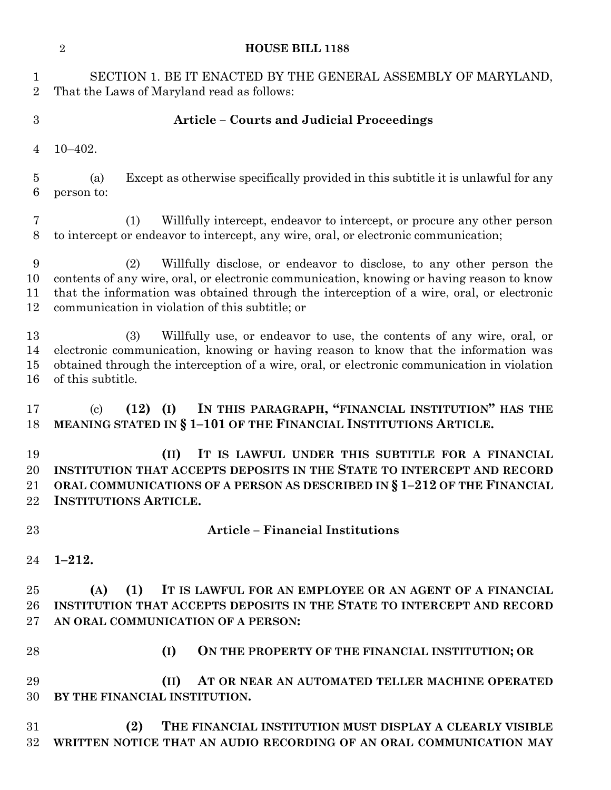|                                    | $\overline{2}$<br><b>HOUSE BILL 1188</b>                                                                                                                                                                                                                                                                                 |
|------------------------------------|--------------------------------------------------------------------------------------------------------------------------------------------------------------------------------------------------------------------------------------------------------------------------------------------------------------------------|
| $\mathbf 1$<br>$\overline{2}$      | SECTION 1. BE IT ENACTED BY THE GENERAL ASSEMBLY OF MARYLAND,<br>That the Laws of Maryland read as follows:                                                                                                                                                                                                              |
| 3                                  | <b>Article - Courts and Judicial Proceedings</b>                                                                                                                                                                                                                                                                         |
| 4                                  | $10 - 402.$                                                                                                                                                                                                                                                                                                              |
| $\overline{5}$<br>6                | Except as otherwise specifically provided in this subtitle it is unlawful for any<br>(a)<br>person to:                                                                                                                                                                                                                   |
| $\overline{7}$<br>8                | Willfully intercept, endeavor to intercept, or procure any other person<br>(1)<br>to intercept or endeavor to intercept, any wire, oral, or electronic communication;                                                                                                                                                    |
| $\boldsymbol{9}$<br>10<br>11<br>12 | Willfully disclose, or endeavor to disclose, to any other person the<br>(2)<br>contents of any wire, oral, or electronic communication, knowing or having reason to know<br>that the information was obtained through the interception of a wire, oral, or electronic<br>communication in violation of this subtitle; or |
| 13<br>14<br>15<br>16               | Willfully use, or endeavor to use, the contents of any wire, oral, or<br>(3)<br>electronic communication, knowing or having reason to know that the information was<br>obtained through the interception of a wire, oral, or electronic communication in violation<br>of this subtitle.                                  |
| 17<br>18                           | IN THIS PARAGRAPH, "FINANCIAL INSTITUTION" HAS THE<br>$(12)$ (I)<br>$\left( \mathrm{c}\right)$<br>MEANING STATED IN § 1-101 OF THE FINANCIAL INSTITUTIONS ARTICLE.                                                                                                                                                       |
| 19<br>20<br>21<br>$22\,$           | IT IS LAWFUL UNDER THIS SUBTITLE FOR A FINANCIAL<br>(II)<br>INSTITUTION THAT ACCEPTS DEPOSITS IN THE STATE TO INTERCEPT AND RECORD<br>ORAL COMMUNICATIONS OF A PERSON AS DESCRIBED IN § 1-212 OF THE FINANCIAL<br><b>INSTITUTIONS ARTICLE.</b>                                                                           |
| 23                                 | <b>Article - Financial Institutions</b>                                                                                                                                                                                                                                                                                  |
| 24                                 | $1 - 212.$                                                                                                                                                                                                                                                                                                               |
| 25<br>26<br>$27\,$                 | IT IS LAWFUL FOR AN EMPLOYEE OR AN AGENT OF A FINANCIAL<br>(A)<br>(1)<br>INSTITUTION THAT ACCEPTS DEPOSITS IN THE STATE TO INTERCEPT AND RECORD<br>AN ORAL COMMUNICATION OF A PERSON:                                                                                                                                    |
| 28                                 | (I)<br>ON THE PROPERTY OF THE FINANCIAL INSTITUTION; OR                                                                                                                                                                                                                                                                  |
| 29<br>30                           | AT OR NEAR AN AUTOMATED TELLER MACHINE OPERATED<br>(II)<br>BY THE FINANCIAL INSTITUTION.                                                                                                                                                                                                                                 |
| 31<br>32                           | (2)<br>THE FINANCIAL INSTITUTION MUST DISPLAY A CLEARLY VISIBLE<br>WRITTEN NOTICE THAT AN AUDIO RECORDING OF AN ORAL COMMUNICATION MAY                                                                                                                                                                                   |